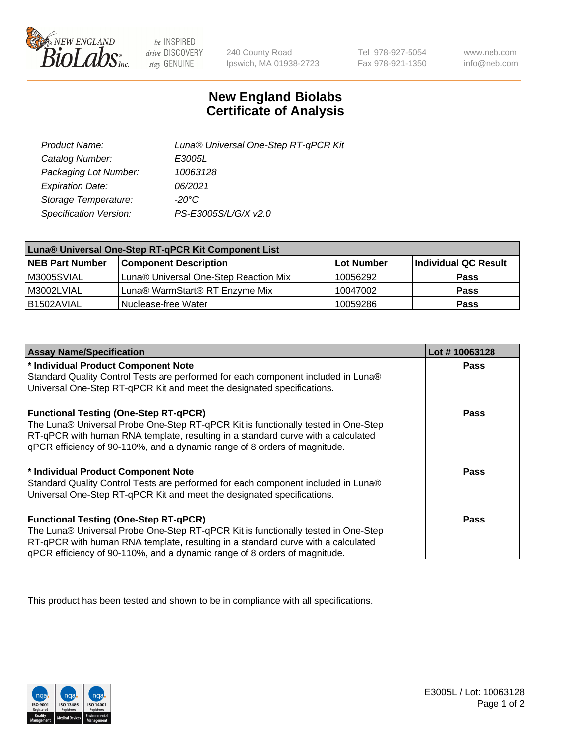

 $be$  INSPIRED drive DISCOVERY stay GENUINE

240 County Road Ipswich, MA 01938-2723

Tel 978-927-5054 Fax 978-921-1350

www.neb.com info@neb.com

## **New England Biolabs Certificate of Analysis**

| Product Name:           | Luna® Universal One-Step RT-qPCR Kit |
|-------------------------|--------------------------------------|
| Catalog Number:         | E3005L                               |
| Packaging Lot Number:   | 10063128                             |
| <b>Expiration Date:</b> | 06/2021                              |
| Storage Temperature:    | $-20^{\circ}$ C                      |
| Specification Version:  | PS-E3005S/L/G/X v2.0                 |

| Luna® Universal One-Step RT-qPCR Kit Component List |                                       |            |                      |  |
|-----------------------------------------------------|---------------------------------------|------------|----------------------|--|
| <b>NEB Part Number</b>                              | <b>Component Description</b>          | Lot Number | Individual QC Result |  |
| M3005SVIAL                                          | Luna® Universal One-Step Reaction Mix | 10056292   | <b>Pass</b>          |  |
| M3002LVIAL                                          | Luna® WarmStart® RT Enzyme Mix        | 10047002   | <b>Pass</b>          |  |
| B1502AVIAL                                          | Nuclease-free Water                   | 10059286   | <b>Pass</b>          |  |

| <b>Assay Name/Specification</b>                                                   | Lot #10063128 |
|-----------------------------------------------------------------------------------|---------------|
| * Individual Product Component Note                                               | <b>Pass</b>   |
| Standard Quality Control Tests are performed for each component included in Luna® |               |
| Universal One-Step RT-qPCR Kit and meet the designated specifications.            |               |
| <b>Functional Testing (One-Step RT-qPCR)</b>                                      | Pass          |
| The Luna® Universal Probe One-Step RT-qPCR Kit is functionally tested in One-Step |               |
| RT-qPCR with human RNA template, resulting in a standard curve with a calculated  |               |
| gPCR efficiency of 90-110%, and a dynamic range of 8 orders of magnitude.         |               |
| * Individual Product Component Note                                               | Pass          |
| Standard Quality Control Tests are performed for each component included in Luna® |               |
| Universal One-Step RT-qPCR Kit and meet the designated specifications.            |               |
| <b>Functional Testing (One-Step RT-qPCR)</b>                                      | <b>Pass</b>   |
| The Luna® Universal Probe One-Step RT-qPCR Kit is functionally tested in One-Step |               |
| RT-qPCR with human RNA template, resulting in a standard curve with a calculated  |               |
| gPCR efficiency of 90-110%, and a dynamic range of 8 orders of magnitude.         |               |

This product has been tested and shown to be in compliance with all specifications.